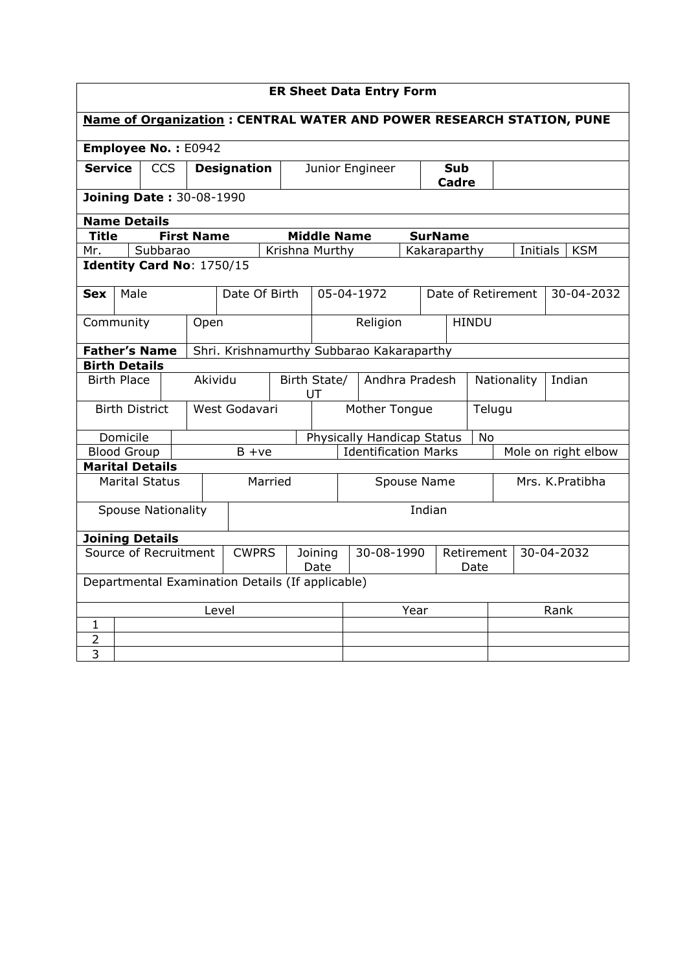| <b>ER Sheet Data Entry Form</b>                                             |                                                  |              |            |                           |                                           |                |                    |                 |                                |            |                     |           |  |  |                        |
|-----------------------------------------------------------------------------|--------------------------------------------------|--------------|------------|---------------------------|-------------------------------------------|----------------|--------------------|-----------------|--------------------------------|------------|---------------------|-----------|--|--|------------------------|
| <b>Name of Organization: CENTRAL WATER AND POWER RESEARCH STATION, PUNE</b> |                                                  |              |            |                           |                                           |                |                    |                 |                                |            |                     |           |  |  |                        |
| Employee No.: E0942                                                         |                                                  |              |            |                           |                                           |                |                    |                 |                                |            |                     |           |  |  |                        |
| <b>Service</b>                                                              |                                                  |              | <b>CCS</b> |                           | <b>Designation</b>                        |                |                    | Junior Engineer |                                |            | <b>Sub</b><br>Cadre |           |  |  |                        |
| <b>Joining Date: 30-08-1990</b>                                             |                                                  |              |            |                           |                                           |                |                    |                 |                                |            |                     |           |  |  |                        |
| <b>Name Details</b>                                                         |                                                  |              |            |                           |                                           |                |                    |                 |                                |            |                     |           |  |  |                        |
| <b>Title</b>                                                                |                                                  |              |            | <b>First Name</b>         |                                           |                | <b>Middle Name</b> |                 |                                |            | <b>SurName</b>      |           |  |  |                        |
| Mr.                                                                         |                                                  |              | Subbarao   |                           |                                           | Krishna Murthy |                    |                 |                                |            | Kakaraparthy        |           |  |  | Initials<br><b>KSM</b> |
|                                                                             |                                                  |              |            | Identity Card No: 1750/15 |                                           |                |                    |                 |                                |            |                     |           |  |  |                        |
| <b>Sex</b>                                                                  | Male                                             |              |            |                           |                                           | Date Of Birth  |                    | 05-04-1972      |                                |            | Date of Retirement  |           |  |  | 30-04-2032             |
| Community                                                                   |                                                  |              | Open       |                           |                                           |                |                    | Religion        | <b>HINDU</b>                   |            |                     |           |  |  |                        |
| <b>Father's Name</b>                                                        |                                                  |              |            |                           | Shri. Krishnamurthy Subbarao Kakaraparthy |                |                    |                 |                                |            |                     |           |  |  |                        |
| <b>Birth Details</b>                                                        |                                                  |              |            |                           |                                           |                |                    |                 |                                |            |                     |           |  |  |                        |
| <b>Birth Place</b><br>Akividu                                               |                                                  |              |            | Birth State/<br>UT        | Andhra Pradesh                            |                |                    | Nationality     |                                | Indian     |                     |           |  |  |                        |
|                                                                             | <b>Birth District</b>                            |              |            |                           | West Godavari                             |                |                    |                 | Mother Tongue<br>Telugu        |            |                     |           |  |  |                        |
|                                                                             | Domicile                                         |              |            |                           |                                           |                |                    |                 | Physically Handicap Status     |            |                     | <b>No</b> |  |  |                        |
|                                                                             | <b>Blood Group</b>                               |              |            |                           |                                           | $B + ve$       |                    |                 | <b>Identification Marks</b>    |            |                     |           |  |  | Mole on right elbow    |
| <b>Marital Details</b>                                                      |                                                  |              |            |                           |                                           |                |                    |                 |                                |            |                     |           |  |  |                        |
|                                                                             | <b>Marital Status</b>                            |              |            |                           | Married                                   |                |                    |                 | Mrs. K.Pratibha<br>Spouse Name |            |                     |           |  |  |                        |
| <b>Spouse Nationality</b>                                                   |                                                  |              |            |                           |                                           | Indian         |                    |                 |                                |            |                     |           |  |  |                        |
| <b>Joining Details</b>                                                      |                                                  |              |            |                           |                                           |                |                    |                 |                                |            |                     |           |  |  |                        |
| Source of Recruitment                                                       |                                                  | <b>CWPRS</b> |            | Joining<br>Date           |                                           |                | 30-08-1990         |                 | Retirement<br>Date             | 30-04-2032 |                     |           |  |  |                        |
|                                                                             | Departmental Examination Details (If applicable) |              |            |                           |                                           |                |                    |                 |                                |            |                     |           |  |  |                        |
| Level                                                                       |                                                  |              |            |                           |                                           |                | Year               |                 |                                | Rank       |                     |           |  |  |                        |
| $\mathbf{1}$                                                                |                                                  |              |            |                           |                                           |                |                    |                 |                                |            |                     |           |  |  |                        |
| $\overline{2}$                                                              |                                                  |              |            |                           |                                           |                |                    |                 |                                |            |                     |           |  |  |                        |
| $\overline{3}$                                                              |                                                  |              |            |                           |                                           |                |                    |                 |                                |            |                     |           |  |  |                        |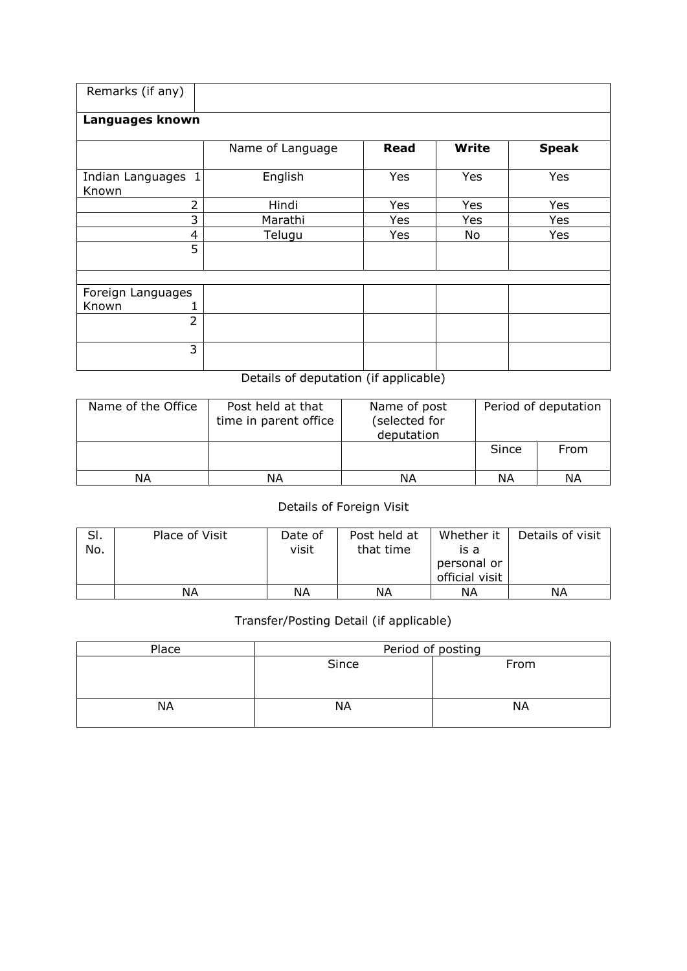| Remarks (if any)            |                                       |             |              |              |
|-----------------------------|---------------------------------------|-------------|--------------|--------------|
| Languages known             |                                       |             |              |              |
|                             | Name of Language                      | <b>Read</b> | <b>Write</b> | <b>Speak</b> |
| Indian Languages 1<br>Known | English                               | <b>Yes</b>  | Yes          | Yes          |
| $\overline{2}$              | Hindi                                 | Yes         | Yes          | Yes          |
| 3                           | Marathi                               | Yes         | Yes          | Yes          |
| $\overline{4}$              | Telugu                                | Yes         | No           | Yes          |
| 5                           |                                       |             |              |              |
|                             |                                       |             |              |              |
| Foreign Languages           |                                       |             |              |              |
| Known                       |                                       |             |              |              |
| $\overline{2}$              |                                       |             |              |              |
| 3                           |                                       |             |              |              |
|                             | Details of deputation (if applicable) |             |              |              |

| Name of the Office | Post held at that<br>time in parent office | Name of post<br>(selected for | Period of de |
|--------------------|--------------------------------------------|-------------------------------|--------------|
|                    |                                            | doputation                    |              |

| Name of the Office | Post held at that<br>time in parent office | Name of post<br>(selected for<br>deputation |       | Period of deputation |
|--------------------|--------------------------------------------|---------------------------------------------|-------|----------------------|
|                    |                                            |                                             | Since | From                 |
| NΑ                 | ΝA                                         | ΝA                                          | ΝA    | ΝA                   |

## Details of Foreign Visit

| SI.<br>No. | Place of Visit | Date of<br>visit | Post held at<br>that time | Whether it<br>is a<br>personal or<br>official visit | Details of visit |
|------------|----------------|------------------|---------------------------|-----------------------------------------------------|------------------|
|            | ΝA             | ΝA               | ΝA                        | ΝA                                                  | ΝA               |

## Transfer/Posting Detail (if applicable)

| Place     |       | Period of posting |
|-----------|-------|-------------------|
|           | Since | From              |
| <b>NA</b> | ΝA    | NА                |